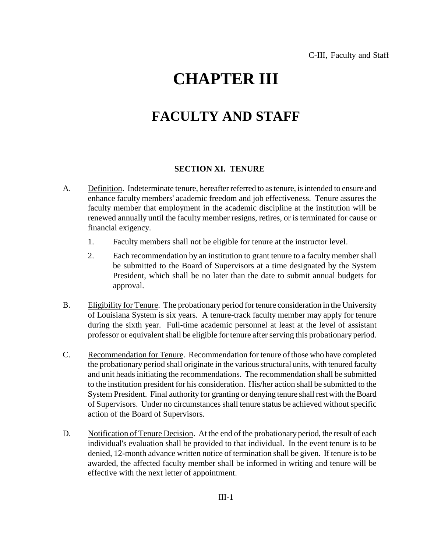## **CHAPTER III**

## **FACULTY AND STAFF**

## **SECTION XI. TENURE**

- A. Definition. Indeterminate tenure, hereafter referred to as tenure, is intended to ensure and enhance faculty members' academic freedom and job effectiveness. Tenure assures the faculty member that employment in the academic discipline at the institution will be renewed annually until the faculty member resigns, retires, or is terminated for cause or financial exigency.
	- 1. Faculty members shall not be eligible for tenure at the instructor level.
	- 2. Each recommendation by an institution to grant tenure to a faculty member shall be submitted to the Board of Supervisors at a time designated by the System President, which shall be no later than the date to submit annual budgets for approval.
- B. Eligibility for Tenure. The probationary period for tenure consideration in the University of Louisiana System is six years. A tenure-track faculty member may apply for tenure during the sixth year. Full-time academic personnel at least at the level of assistant professor or equivalent shall be eligible for tenure after serving this probationary period.
- C. Recommendation for Tenure. Recommendation for tenure of those who have completed the probationary period shall originate in the various structural units, with tenured faculty and unit heads initiating the recommendations. The recommendation shall be submitted to the institution president for his consideration. His/her action shall be submitted to the System President. Final authority for granting or denying tenure shall rest with the Board of Supervisors. Under no circumstances shall tenure status be achieved without specific action of the Board of Supervisors.
- D. Notification of Tenure Decision. At the end of the probationary period, the result of each individual's evaluation shall be provided to that individual. In the event tenure is to be denied, 12-month advance written notice of termination shall be given. If tenure is to be awarded, the affected faculty member shall be informed in writing and tenure will be effective with the next letter of appointment.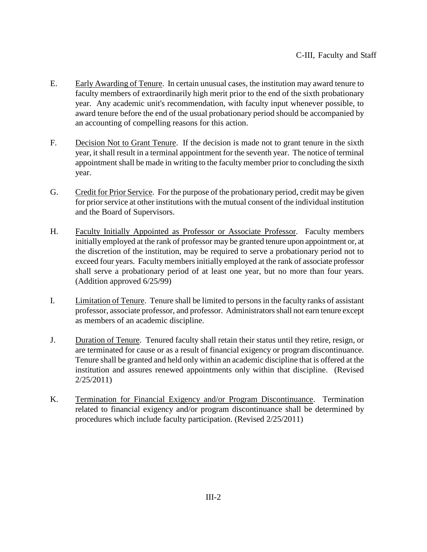- E. Early Awarding of Tenure. In certain unusual cases, the institution may award tenure to faculty members of extraordinarily high merit prior to the end of the sixth probationary year. Any academic unit's recommendation, with faculty input whenever possible, to award tenure before the end of the usual probationary period should be accompanied by an accounting of compelling reasons for this action.
- F. Decision Not to Grant Tenure. If the decision is made not to grant tenure in the sixth year, it shall result in a terminal appointment for the seventh year. The notice of terminal appointment shall be made in writing to the faculty member prior to concluding the sixth year.
- G. Credit for Prior Service. For the purpose of the probationary period, credit may be given for prior service at other institutions with the mutual consent of the individual institution and the Board of Supervisors.
- H. Faculty Initially Appointed as Professor or Associate Professor. Faculty members initially employed at the rank of professor may be granted tenure upon appointment or, at the discretion of the institution, may be required to serve a probationary period not to exceed four years. Faculty members initially employed at the rank of associate professor shall serve a probationary period of at least one year, but no more than four years. (Addition approved 6/25/99)
- I. Limitation of Tenure. Tenure shall be limited to persons in the faculty ranks of assistant professor, associate professor, and professor. Administrators shall not earn tenure except as members of an academic discipline.
- J. Duration of Tenure. Tenured faculty shall retain their status until they retire, resign, or are terminated for cause or as a result of financial exigency or program discontinuance. Tenure shall be granted and held only within an academic discipline that is offered at the institution and assures renewed appointments only within that discipline. (Revised 2/25/2011)
- K. Termination for Financial Exigency and/or Program Discontinuance. Termination related to financial exigency and/or program discontinuance shall be determined by procedures which include faculty participation. (Revised 2/25/2011)